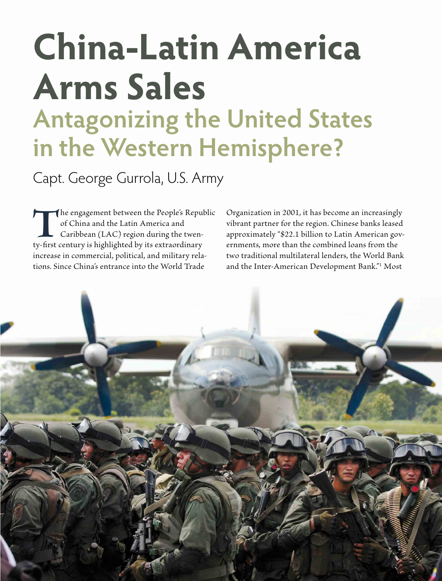# **China-Latin America Arms Sales Antagonizing the United States in the Western Hemisphere?**

Capt. George Gurrola, U.S. Army

The engagement between the People's Republic of China and the Latin America and Caribbean (LAC) region during the twenty-first century is highlighted by its extraordinary of China and the Latin America and Caribbean (LAC) region during the twenincrease in commercial, political, and military relations. Since China's entrance into the World Trade

Organization in 2001, it has become an increasingly vibrant partner for the region. Chinese banks leased approximately "\$22.1 billion to Latin American governments, more than the combined loans from the two traditional multilateral lenders, the World Bank and the Inter-American Development Bank."1 Most

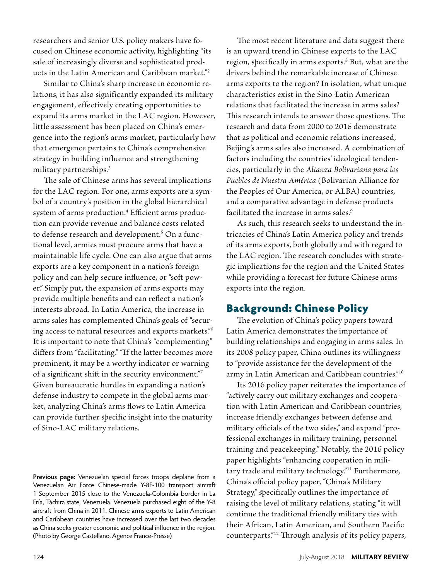researchers and senior U.S. policy makers have focused on Chinese economic activity, highlighting "its sale of increasingly diverse and sophisticated products in the Latin American and Caribbean market."2

Similar to China's sharp increase in economic relations, it has also significantly expanded its military engagement, effectively creating opportunities to expand its arms market in the LAC region. However, little assessment has been placed on China's emergence into the region's arms market, particularly how that emergence pertains to China's comprehensive strategy in building influence and strengthening military partnerships.3

The sale of Chinese arms has several implications for the LAC region. For one, arms exports are a symbol of a country's position in the global hierarchical system of arms production.<sup>4</sup> Efficient arms production can provide revenue and balance costs related to defense research and development.<sup>5</sup> On a functional level, armies must procure arms that have a maintainable life cycle. One can also argue that arms exports are a key component in a nation's foreign policy and can help secure influence, or "soft power." Simply put, the expansion of arms exports may provide multiple benefits and can reflect a nation's interests abroad. In Latin America, the increase in arms sales has complemented China's goals of "securing access to natural resources and exports markets."6 It is important to note that China's "complementing" differs from "facilitating." "If the latter becomes more prominent, it may be a worthy indicator or warning of a significant shift in the security environment."7 Given bureaucratic hurdles in expanding a nation's defense industry to compete in the global arms market, analyzing China's arms flows to Latin America can provide further specific insight into the maturity of Sino-LAC military relations.

**Previous page:** Venezuelan special forces troops deplane from a Venezuelan Air Force Chinese-made Y-8F-100 transport aircraft 1 September 2015 close to the Venezuela-Colombia border in La FrÍa, Táchira state, Venezuela. Venezuela purchased eight of the Y-8 aircraft from China in 2011. Chinese arms exports to Latin American and Caribbean countries have increased over the last two decades as China seeks greater economic and political influence in the region. (Photo by George Castellano, Agence France-Presse)

The most recent literature and data suggest there is an upward trend in Chinese exports to the LAC region, specifically in arms exports.<sup>8</sup> But, what are the drivers behind the remarkable increase of Chinese arms exports to the region? In isolation, what unique characteristics exist in the Sino-Latin American relations that facilitated the increase in arms sales? This research intends to answer those questions. The research and data from 2000 to 2016 demonstrate that as political and economic relations increased, Beijing's arms sales also increased. A combination of factors including the countries' ideological tendencies, particularly in the *Alianza Bolivariana para los Pueblos de Nuestra América* (Bolivarian Alliance for the Peoples of Our America, or ALBA) countries, and a comparative advantage in defense products facilitated the increase in arms sales.<sup>9</sup>

As such, this research seeks to understand the intricacies of China's Latin America policy and trends of its arms exports, both globally and with regard to the LAC region. The research concludes with strategic implications for the region and the United States while providing a forecast for future Chinese arms exports into the region.

### Background: Chinese Policy

The evolution of China's policy papers toward Latin America demonstrates the importance of building relationships and engaging in arms sales. In its 2008 policy paper, China outlines its willingness to "provide assistance for the development of the army in Latin American and Caribbean countries."10

Its 2016 policy paper reiterates the importance of "actively carry out military exchanges and cooperation with Latin American and Caribbean countries, increase friendly exchanges between defense and military officials of the two sides," and expand "professional exchanges in military training, personnel training and peacekeeping." Notably, the 2016 policy paper highlights "enhancing cooperation in military trade and military technology."<sup>11</sup> Furthermore, China's official policy paper, "China's Military Strategy," specifically outlines the importance of raising the level of military relations, stating "it will continue the traditional friendly military ties with their African, Latin American, and Southern Pacific counterparts."12 Through analysis of its policy papers,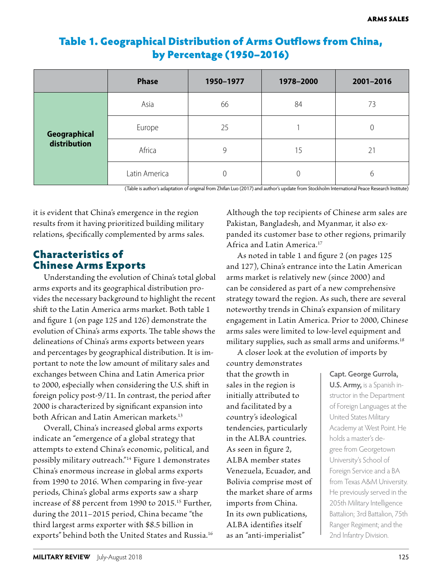# Table 1. Geographical Distribution of Arms Outflows from China, by Percentage (1950–2016)

|                              | <b>Phase</b>  | 1950-1977 | 1978-2000 | 2001-2016 |
|------------------------------|---------------|-----------|-----------|-----------|
| Geographical<br>distribution | Asia          | 66        | 84        | 73        |
|                              | Europe        | 25        |           |           |
|                              | Africa        | 9         | 15        | 21        |
|                              | Latin America | 0         | $\Omega$  | 6         |

(Table is author's adaptation of original from Zhifan Luo (2017) and author's update from Stockholm International Peace Research Institute)

it is evident that China's emergence in the region results from it having prioritized building military relations, specifically complemented by arms sales.

# Characteristics of Chinese Arms Exports

Understanding the evolution of China's total global arms exports and its geographical distribution provides the necessary background to highlight the recent shift to the Latin America arms market. Both table 1 and figure 1 (on page 125 and 126) demonstrate the evolution of China's arms exports. The table shows the delineations of China's arms exports between years and percentages by geographical distribution. It is important to note the low amount of military sales and exchanges between China and Latin America prior to 2000, especially when considering the U.S. shift in foreign policy post-9/11. In contrast, the period after 2000 is characterized by significant expansion into both African and Latin American markets.13

Overall, China's increased global arms exports indicate an "emergence of a global strategy that attempts to extend China's economic, political, and possibly military outreach."14 Figure 1 demonstrates China's enormous increase in global arms exports from 1990 to 2016. When comparing in five-year periods, China's global arms exports saw a sharp increase of 88 percent from 1990 to 2015.<sup>15</sup> Further, during the 2011–2015 period, China became "the third largest arms exporter with \$8.5 billion in exports" behind both the United States and Russia.16 Although the top recipients of Chinese arm sales are Pakistan, Bangladesh, and Myanmar, it also expanded its customer base to other regions, primarily Africa and Latin America.17

As noted in table 1 and figure 2 (on pages 125 and 127), China's entrance into the Latin American arms market is relatively new (since 2000) and can be considered as part of a new comprehensive strategy toward the region. As such, there are several noteworthy trends in China's expansion of military engagement in Latin America. Prior to 2000, Chinese arms sales were limited to low-level equipment and military supplies, such as small arms and uniforms.<sup>18</sup>

A closer look at the evolution of imports by

country demonstrates that the growth in sales in the region is initially attributed to and facilitated by a country's ideological tendencies, particularly in the ALBA countries. As seen in figure 2, ALBA member states Venezuela, Ecuador, and Bolivia comprise most of the market share of arms imports from China. In its own publications, ALBA identifies itself as an "anti-imperialist"

#### **Capt. George Gurrola,**

**U.S. Army,** is a Spanish instructor in the Department of Foreign Languages at the United States Military Academy at West Point. He holds a master's degree from Georgetown University's School of Foreign Service and a BA from Texas A&M University. He previously served in the 205th Military Intelligence Battalion; 3rd Battalion, 75th Ranger Regiment; and the 2nd Infantry Division.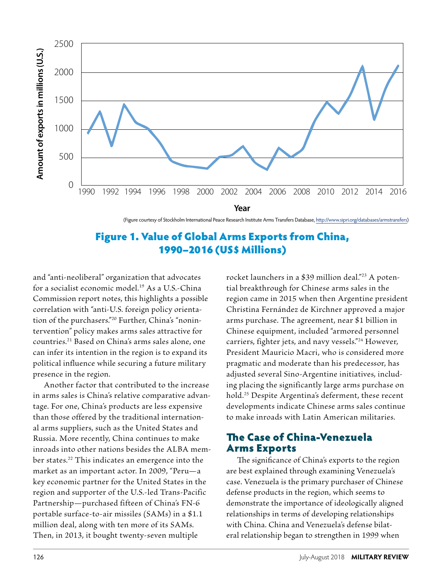

(Figure courtesy of Stockholm International Peace Research Institute Arms Transfers Database, http://www.sipri.org/databases/armstransfers)

## Figure 1. Value of Global Arms Exports from China, 1990–2016 (US\$ Millions)

and "anti-neoliberal" organization that advocates for a socialist economic model.<sup>19</sup> As a U.S.-China Commission report notes, this highlights a possible correlation with "anti-U.S. foreign policy orientation of the purchasers."20 Further, China's "nonintervention" policy makes arms sales attractive for countries.21 Based on China's arms sales alone, one can infer its intention in the region is to expand its political influence while securing a future military presence in the region.

Another factor that contributed to the increase in arms sales is China's relative comparative advantage. For one, China's products are less expensive than those offered by the traditional international arms suppliers, such as the United States and Russia. More recently, China continues to make inroads into other nations besides the ALBA member states.22 This indicates an emergence into the market as an important actor. In 2009, "Peru—a key economic partner for the United States in the region and supporter of the U.S.-led Trans-Pacific Partnership—purchased fifteen of China's FN-6 portable surface-to-air missiles (SAMs) in a \$1.1 million deal, along with ten more of its SAMs. Then, in 2013, it bought twenty-seven multiple

rocket launchers in a \$39 million deal."<sup>23</sup> A potential breakthrough for Chinese arms sales in the region came in 2015 when then Argentine president Christina Fernández de Kirchner approved a major arms purchase. The agreement, near \$1 billion in Chinese equipment, included "armored personnel carriers, fighter jets, and navy vessels."24 However, President Mauricio Macri, who is considered more pragmatic and moderate than his predecessor, has adjusted several Sino-Argentine initiatives, including placing the significantly large arms purchase on hold.25 Despite Argentina's deferment, these recent developments indicate Chinese arms sales continue to make inroads with Latin American militaries.

### The Case of China-Venezuela Arms Exports

The significance of China's exports to the region are best explained through examining Venezuela's case. Venezuela is the primary purchaser of Chinese defense products in the region, which seems to demonstrate the importance of ideologically aligned relationships in terms of developing relationships with China. China and Venezuela's defense bilateral relationship began to strengthen in 1999 when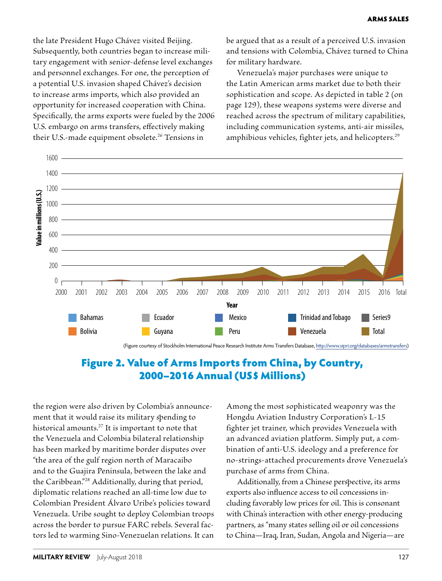the late President Hugo Chávez visited Beijing. Subsequently, both countries began to increase military engagement with senior-defense level exchanges and personnel exchanges. For one, the perception of a potential U.S. invasion shaped Chávez's decision to increase arms imports, which also provided an opportunity for increased cooperation with China. Specifically, the arms exports were fueled by the 2006 U.S. embargo on arms transfers, effectively making their U.S.-made equipment obsolete.<sup>26</sup> Tensions in

be argued that as a result of a perceived U.S. invasion and tensions with Colombia, Chávez turned to China for military hardware.

Venezuela's major purchases were unique to the Latin American arms market due to both their sophistication and scope. As depicted in table 2 (on page 129), these weapons systems were diverse and reached across the spectrum of military capabilities, including communication systems, anti-air missiles, amphibious vehicles, fighter jets, and helicopters.<sup>29</sup>



### Figure 2. Value of Arms Imports from China, by Country, 2000–2016 Annual (US\$ Millions)

the region were also driven by Colombia's announcement that it would raise its military spending to historical amounts.27 It is important to note that the Venezuela and Colombia bilateral relationship has been marked by maritime border disputes over "the area of the gulf region north of Maracaibo and to the Guajira Peninsula, between the lake and the Caribbean."28 Additionally, during that period, diplomatic relations reached an all-time low due to Colombian President Álvaro Uribe's policies toward Venezuela. Uribe sought to deploy Colombian troops across the border to pursue FARC rebels. Several factors led to warming Sino-Venezuelan relations. It can Among the most sophisticated weaponry was the Hongdu Aviation Industry Corporation's L-15 fighter jet trainer, which provides Venezuela with an advanced aviation platform. Simply put, a combination of anti-U.S. ideology and a preference for no-strings-attached procurements drove Venezuela's purchase of arms from China.

Additionally, from a Chinese perspective, its arms exports also influence access to oil concessions including favorably low prices for oil. This is consonant with China's interaction with other energy-producing partners, as "many states selling oil or oil concessions to China—Iraq, Iran, Sudan, Angola and Nigeria—are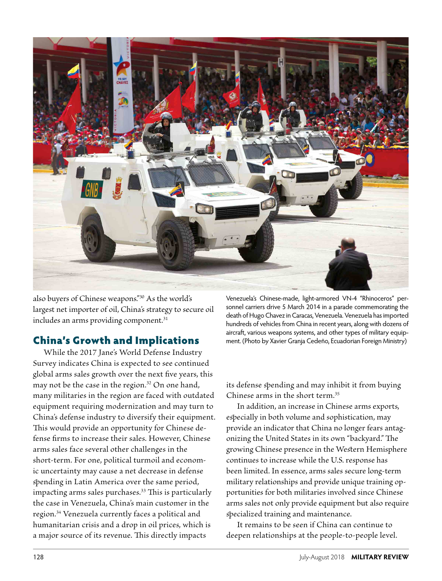

also buyers of Chinese weapons."30 As the world's largest net importer of oil, China's strategy to secure oil includes an arms providing component.<sup>31</sup>

### China's Growth and Implications

While the 2017 Jane's World Defense Industry Survey indicates China is expected to see continued global arms sales growth over the next five years, this may not be the case in the region.<sup>32</sup> On one hand, many militaries in the region are faced with outdated equipment requiring modernization and may turn to China's defense industry to diversify their equipment. This would provide an opportunity for Chinese defense firms to increase their sales. However, Chinese arms sales face several other challenges in the short-term. For one, political turmoil and economic uncertainty may cause a net decrease in defense spending in Latin America over the same period, impacting arms sales purchases.<sup>33</sup> This is particularly the case in Venezuela, China's main customer in the region.34 Venezuela currently faces a political and humanitarian crisis and a drop in oil prices, which is a major source of its revenue. This directly impacts

Venezuela's Chinese-made, light-armored VN-4 "Rhinoceros" personnel carriers drive 5 March 2014 in a parade commemorating the death of Hugo Chavez in Caracas, Venezuela. Venezuela has imported hundreds of vehicles from China in recent years, along with dozens of aircraft, various weapons systems, and other types of military equipment. (Photo by Xavier Granja Cedeño, Ecuadorian Foreign Ministry)

its defense spending and may inhibit it from buying Chinese arms in the short term.35

In addition, an increase in Chinese arms exports, especially in both volume and sophistication, may provide an indicator that China no longer fears antagonizing the United States in its own "backyard." The growing Chinese presence in the Western Hemisphere continues to increase while the U.S. response has been limited. In essence, arms sales secure long-term military relationships and provide unique training opportunities for both militaries involved since Chinese arms sales not only provide equipment but also require specialized training and maintenance.

It remains to be seen if China can continue to deepen relationships at the people-to-people level.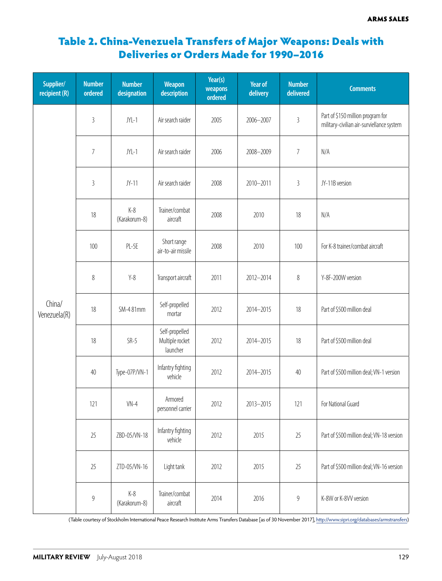# Table 2. China-Venezuela Transfers of Major Weapons: Deals with Deliveries or Orders Made for 1990–2016

| Supplier/<br>recipient (R) | <b>Number</b><br>ordered | <b>Number</b><br>designation | <b>Weapon</b><br>description                  | Year(s)<br>weapons<br>ordered | <b>Year of</b><br>delivery | <b>Number</b><br>delivered | <b>Comments</b>                                                                |
|----------------------------|--------------------------|------------------------------|-----------------------------------------------|-------------------------------|----------------------------|----------------------------|--------------------------------------------------------------------------------|
| China/<br>Venezuela(R)     | $\overline{3}$           | $JYL-1$                      | Air search raider                             | 2005                          | 2006-2007                  | $\overline{3}$             | Part of \$150 million program for<br>military-civilian air-surviellance system |
|                            | $\overline{7}$           | $JYL-1$                      | Air search raider                             | 2006                          | 2008-2009                  | 7                          | N/A                                                                            |
|                            | $\mathfrak{Z}$           | $JY-11$                      | Air search raider                             | 2008                          | 2010-2011                  | $\sqrt{3}$                 | JY-11B version                                                                 |
|                            | 18                       | $K-8$<br>(Karakorum-8)       | Trainer/combat<br>aircraft                    | 2008                          | 2010                       | 18                         | N/A                                                                            |
|                            | 100                      | $PL-5E$                      | Short range<br>air-to-air missile             | 2008                          | 2010                       | 100                        | For K-8 trainer/combat aircraft                                                |
|                            | $\,8\,$                  | $Y-8$                        | Transport aircraft                            | 2011                          | 2012-2014                  | $\,8\,$                    | Y-8F-200W version                                                              |
|                            | 18                       | SM-481mm                     | Self-propelled<br>mortar                      | 2012                          | 2014-2015                  | 18                         | Part of \$500 million deal                                                     |
|                            | 18                       | $SR-5$                       | Self-propelled<br>Multiple rocket<br>launcher | 2012                          | 2014-2015                  | 18                         | Part of \$500 million deal                                                     |
|                            | 40                       | Type-07P/VN-1                | Infantry fighting<br>vehicle                  | 2012                          | 2014-2015                  | 40                         | Part of \$500 million deal; VN-1 version                                       |
|                            | 121                      | $VN-4$                       | Armored<br>personnel carrier                  | 2012                          | 2013-2015                  | 121                        | For National Guard                                                             |
|                            | 25                       | ZBD-05/VN-18                 | Infantry fighting<br>vehicle                  | 2012                          | 2015                       | 25                         | Part of \$500 million deal; VN-18 version                                      |
|                            | 25                       | ZTD-05/VN-16                 | Light tank                                    | 2012                          | 2015                       | 25                         | Part of \$500 million deal; VN-16 version                                      |
|                            | $\boldsymbol{9}$         | $K-8$<br>(Karakorum-8)       | Trainer/combat<br>aircraft                    | 2014                          | 2016                       | $\boldsymbol{9}$           | K-8W or K-8VV version                                                          |

(Table courtesy of Stockholm International Peace Research Institute Arms Transfers Database [as of 30 November 2017], http://www.sipri.org/databases/armstransfers)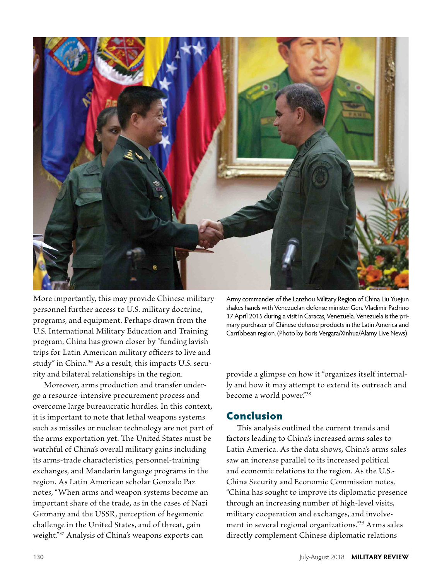

More importantly, this may provide Chinese military personnel further access to U.S. military doctrine, programs, and equipment. Perhaps drawn from the U.S. International Military Education and Training program, China has grown closer by "funding lavish trips for Latin American military officers to live and study" in China.36 As a result, this impacts U.S. security and bilateral relationships in the region.

Moreover, arms production and transfer undergo a resource-intensive procurement process and overcome large bureaucratic hurdles. In this context, it is important to note that lethal weapons systems such as missiles or nuclear technology are not part of the arms exportation yet. The United States must be watchful of China's overall military gains including its arms-trade characteristics, personnel-training exchanges, and Mandarin language programs in the region. As Latin American scholar Gonzalo Paz notes, "When arms and weapon systems become an important share of the trade, as in the cases of Nazi Germany and the USSR, perception of hegemonic challenge in the United States, and of threat, gain weight."37 Analysis of China's weapons exports can

Army commander of the Lanzhou Military Region of China Liu Yuejun shakes hands with Venezuelan defense minister Gen. Vladimir Padrino 17 April 2015 during a visit in Caracas, Venezuela. Venezuela is the primary purchaser of Chinese defense products in the Latin America and Carribbean region. (Photo by Boris Vergara/Xinhua/Alamy Live News)

provide a glimpse on how it "organizes itself internally and how it may attempt to extend its outreach and become a world power."38

#### Conclusion

This analysis outlined the current trends and factors leading to China's increased arms sales to Latin America. As the data shows, China's arms sales saw an increase parallel to its increased political and economic relations to the region. As the U.S.- China Security and Economic Commission notes, "China has sought to improve its diplomatic presence through an increasing number of high-level visits, military cooperation and exchanges, and involvement in several regional organizations."39 Arms sales directly complement Chinese diplomatic relations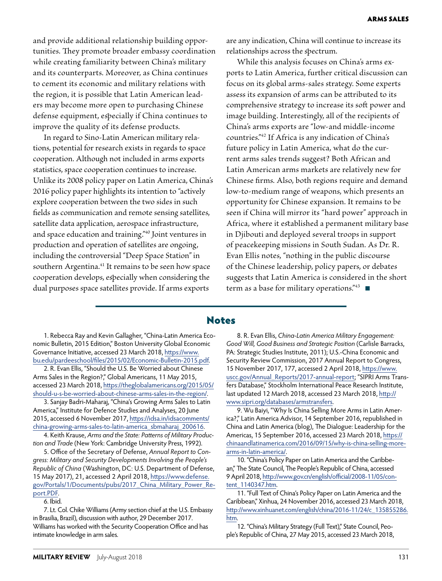and provide additional relationship building opportunities. They promote broader embassy coordination while creating familiarity between China's military and its counterparts. Moreover, as China continues to cement its economic and military relations with the region, it is possible that Latin American leaders may become more open to purchasing Chinese defense equipment, especially if China continues to improve the quality of its defense products.

In regard to Sino-Latin American military relations, potential for research exists in regards to space cooperation. Although not included in arms exports statistics, space cooperation continues to increase. Unlike its 2008 policy paper on Latin America, China's 2016 policy paper highlights its intention to "actively explore cooperation between the two sides in such fields as communication and remote sensing satellites, satellite data application, aerospace infrastructure, and space education and training."40 Joint ventures in production and operation of satellites are ongoing, including the controversial "Deep Space Station" in southern Argentina.<sup>41</sup> It remains to be seen how space cooperation develops, especially when considering the dual purposes space satellites provide. If arms exports

are any indication, China will continue to increase its relationships across the spectrum.

While this analysis focuses on China's arms exports to Latin America, further critical discussion can focus on its global arms-sales strategy. Some experts assess its expansion of arms can be attributed to its comprehensive strategy to increase its soft power and image building. Interestingly, all of the recipients of China's arms exports are "low-and middle-income countries."42 If Africa is any indication of China's future policy in Latin America, what do the current arms sales trends suggest? Both African and Latin American arms markets are relatively new for Chinese firms. Also, both regions require and demand low-to-medium range of weapons, which presents an opportunity for Chinese expansion. It remains to be seen if China will mirror its "hard power" approach in Africa, where it established a permanent military base in Djibouti and deployed several troops in support of peacekeeping missions in South Sudan. As Dr. R. Evan Ellis notes, "nothing in the public discourse of the Chinese leadership, policy papers, or debates suggests that Latin America is considered in the short term as a base for military operations." $43$ 

#### Notes

1. Rebecca Ray and Kevin Gallagher, "China-Latin America Economic Bulletin, 2015 Edition," Boston University Global Economic Governance Initiative, accessed 23 March 2018, https://www. bu.edu/pardeeschool/files/2015/02/Economic-Bulletin-2015.pdf.

2. R. Evan Ellis, "Should the U.S. Be Worried about Chinese Arms Sales in the Region?," Global Americans, 11 May 2015, accessed 23 March 2018, https://theglobalamericans.org/2015/05/ should-u-s-be-worried-about-chinese-arms-sales-in-the-region/.

3. Sanjay Badri-Maharaj, "China's Growing Arms Sales to Latin America," Institute for Defence Studies and Analyses, 20 June 2015, accessed 6 November 2017, https://idsa.in/idsacomments/ china-growing-arms-sales-to-latin-america\_sbmaharaj\_200616.

4. Keith Krause, *Arms and the State: Patterns of Military Production and Trade* (New York: Cambridge University Press, 1992).

5. Office of the Secretary of Defense, *Annual Report to Congress: Military and Security Developments Involving the People's Republic of China* (Washington, DC: U.S. Department of Defense, 15 May 2017), 21, accessed 2 April 2018, https://www.defense. gov/Portals/1/Documents/pubs/2017\_China\_Military\_Power\_Report.PDF.

#### 6. Ibid.

7. Lt. Col. Chike Williams (Army section chief at the U.S. Embassy in Brasilia, Brazil), discussion with author, 29 December 2017. Williams has worked with the Security Cooperation Office and has intimate knowledge in arm sales.

8. R. Evan Ellis, *China-Latin America Military Engagement: Good Will, Good Business and Strategic Position* (Carlisle Barracks, PA: Strategic Studies Institute, 2011); U.S.-China Economic and Security Review Commission, 2017 Annual Report to Congress, 15 November 2017, 177, accessed 2 April 2018, https://www. uscc.gov/Annual\_Reports/2017-annual-report; "SIPRI Arms Transfers Database," Stockholm International Peace Research Institute, last updated 12 March 2018, accessed 23 March 2018, http:// www.sipri.org/databases/armstransfers.

9. Wu Baiyi, "Why Is China Selling More Arms in Latin America?," Latin America Advisor, 14 September 2016, republished in China and Latin America (blog), The Dialogue: Leadership for the Americas, 15 September 2016, accessed 23 March 2018, https:// chinaandlatinamerica.com/2016/09/15/why-is-china-selling-morearms-in-latin-america/.

10. "China's Policy Paper on Latin America and the Caribbean," The State Council, The People's Republic of China, accessed 9 April 2018, http://www.gov.cn/english/official/2008-11/05/content\_1140347.htm.

11. "Full Text of China's Policy Paper on Latin America and the Caribbean," Xinhua, 24 November 2016, accessed 23 March 2018, http://www.xinhuanet.com/english/china/2016-11/24/c\_135855286. htm.

12. "China's Military Strategy (Full Text)," State Council, People's Republic of China, 27 May 2015, accessed 23 March 2018,